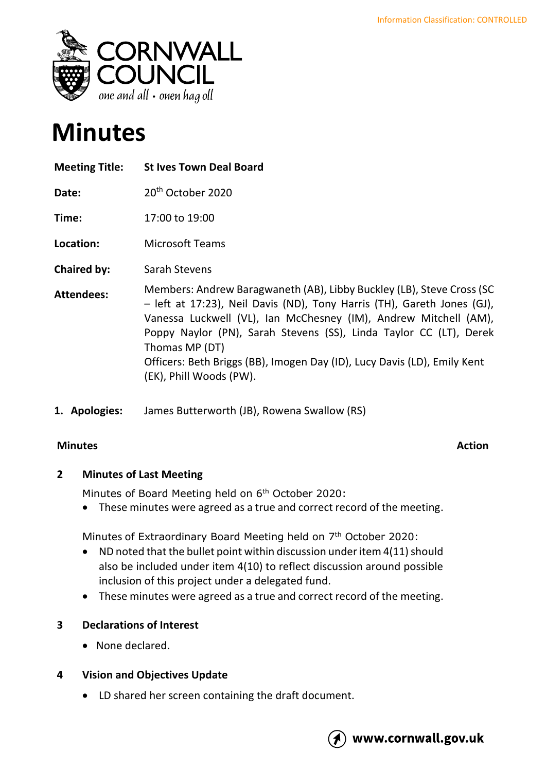

# **Minutes**

| <b>Meeting Title:</b> | <b>St Ives Town Deal Board</b>                                                                                                                                                                                                                                                                                                                                                                                      |
|-----------------------|---------------------------------------------------------------------------------------------------------------------------------------------------------------------------------------------------------------------------------------------------------------------------------------------------------------------------------------------------------------------------------------------------------------------|
| Date:                 | 20 <sup>th</sup> October 2020                                                                                                                                                                                                                                                                                                                                                                                       |
| Time:                 | 17:00 to 19:00                                                                                                                                                                                                                                                                                                                                                                                                      |
| Location:             | <b>Microsoft Teams</b>                                                                                                                                                                                                                                                                                                                                                                                              |
| <b>Chaired by:</b>    | Sarah Stevens                                                                                                                                                                                                                                                                                                                                                                                                       |
| <b>Attendees:</b>     | Members: Andrew Baragwaneth (AB), Libby Buckley (LB), Steve Cross (SC<br>- left at 17:23), Neil Davis (ND), Tony Harris (TH), Gareth Jones (GJ),<br>Vanessa Luckwell (VL), Ian McChesney (IM), Andrew Mitchell (AM),<br>Poppy Naylor (PN), Sarah Stevens (SS), Linda Taylor CC (LT), Derek<br>Thomas MP (DT)<br>Officers: Beth Briggs (BB), Imogen Day (ID), Lucy Davis (LD), Emily Kent<br>(EK), Phill Woods (PW). |

**1. Apologies:** James Butterworth (JB), Rowena Swallow (RS)

### **Minutes Action**

### **2 Minutes of Last Meeting**

Minutes of Board Meeting held on 6<sup>th</sup> October 2020:

• These minutes were agreed as a true and correct record of the meeting.

Minutes of Extraordinary Board Meeting held on 7<sup>th</sup> October 2020:

- ND noted that the bullet point within discussion under item 4(11) should also be included under item 4(10) to reflect discussion around possible inclusion of this project under a delegated fund.
- These minutes were agreed as a true and correct record of the meeting.

# **3 Declarations of Interest**

• None declared.

# **4 Vision and Objectives Update**

• LD shared her screen containing the draft document.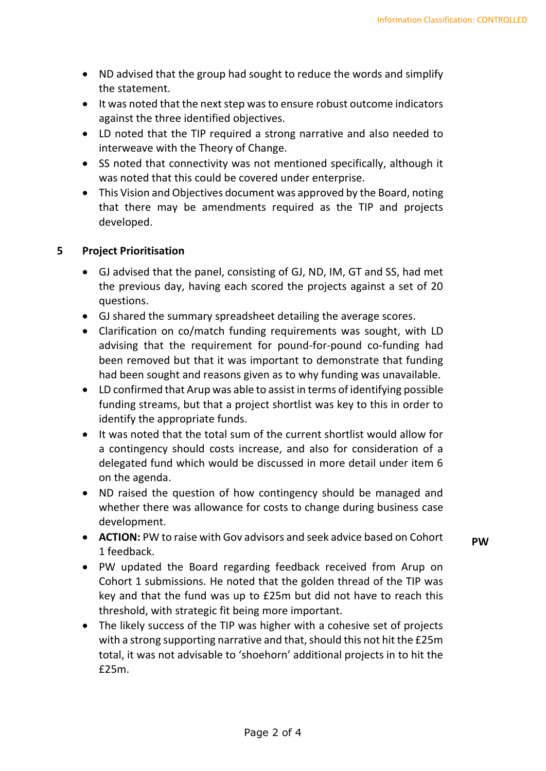- ND advised that the group had sought to reduce the words and simplify the statement.
- It was noted that the next step was to ensure robust outcome indicators against the three identified objectives.
- LD noted that the TIP required a strong narrative and also needed to interweave with the Theory of Change.
- SS noted that connectivity was not mentioned specifically, although it was noted that this could be covered under enterprise.
- This Vision and Objectives document was approved by the Board, noting that there may be amendments required as the TIP and projects developed.

#### **5 Project Prioritisation**

- GJ advised that the panel, consisting of GJ, ND, IM, GT and SS, had met the previous day, having each scored the projects against a set of 20 questions.
- GJ shared the summary spreadsheet detailing the average scores.
- Clarification on co/match funding requirements was sought, with LD advising that the requirement for pound-for-pound co-funding had been removed but that it was important to demonstrate that funding had been sought and reasons given as to why funding was unavailable.
- LD confirmed that Arup was able to assist in terms of identifying possible funding streams, but that a project shortlist was key to this in order to identify the appropriate funds.
- It was noted that the total sum of the current shortlist would allow for a contingency should costs increase, and also for consideration of a delegated fund which would be discussed in more detail under item 6 on the agenda.
- ND raised the question of how contingency should be managed and whether there was allowance for costs to change during business case development.
- **ACTION:** PW to raise with Gov advisors and seek advice based on Cohort 1 feedback.
- **PW**
- PW updated the Board regarding feedback received from Arup on Cohort 1 submissions. He noted that the golden thread of the TIP was key and that the fund was up to £25m but did not have to reach this threshold, with strategic fit being more important.
- The likely success of the TIP was higher with a cohesive set of projects with a strong supporting narrative and that, should this not hit the £25m total, it was not advisable to 'shoehorn' additional projects in to hit the £25m.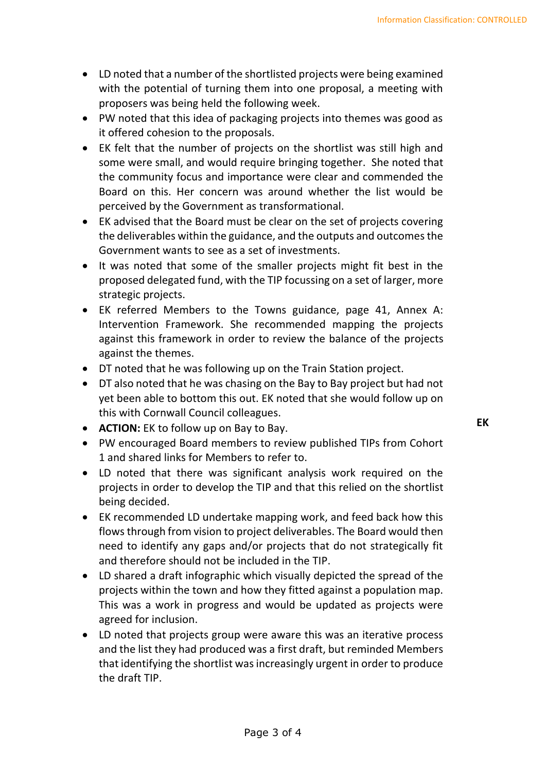- LD noted that a number of the shortlisted projects were being examined with the potential of turning them into one proposal, a meeting with proposers was being held the following week.
- PW noted that this idea of packaging projects into themes was good as it offered cohesion to the proposals.
- EK felt that the number of projects on the shortlist was still high and some were small, and would require bringing together. She noted that the community focus and importance were clear and commended the Board on this. Her concern was around whether the list would be perceived by the Government as transformational.
- EK advised that the Board must be clear on the set of projects covering the deliverables within the guidance, and the outputs and outcomes the Government wants to see as a set of investments.
- It was noted that some of the smaller projects might fit best in the proposed delegated fund, with the TIP focussing on a set of larger, more strategic projects.
- EK referred Members to the Towns guidance, page 41, Annex A: Intervention Framework. She recommended mapping the projects against this framework in order to review the balance of the projects against the themes.
- DT noted that he was following up on the Train Station project.
- DT also noted that he was chasing on the Bay to Bay project but had not yet been able to bottom this out. EK noted that she would follow up on this with Cornwall Council colleagues.
- **ACTION:** EK to follow up on Bay to Bay.
- PW encouraged Board members to review published TIPs from Cohort 1 and shared links for Members to refer to.
- LD noted that there was significant analysis work required on the projects in order to develop the TIP and that this relied on the shortlist being decided.
- EK recommended LD undertake mapping work, and feed back how this flows through from vision to project deliverables. The Board would then need to identify any gaps and/or projects that do not strategically fit and therefore should not be included in the TIP.
- LD shared a draft infographic which visually depicted the spread of the projects within the town and how they fitted against a population map. This was a work in progress and would be updated as projects were agreed for inclusion.
- LD noted that projects group were aware this was an iterative process and the list they had produced was a first draft, but reminded Members that identifying the shortlist was increasingly urgent in order to produce the draft TIP.

**EK**